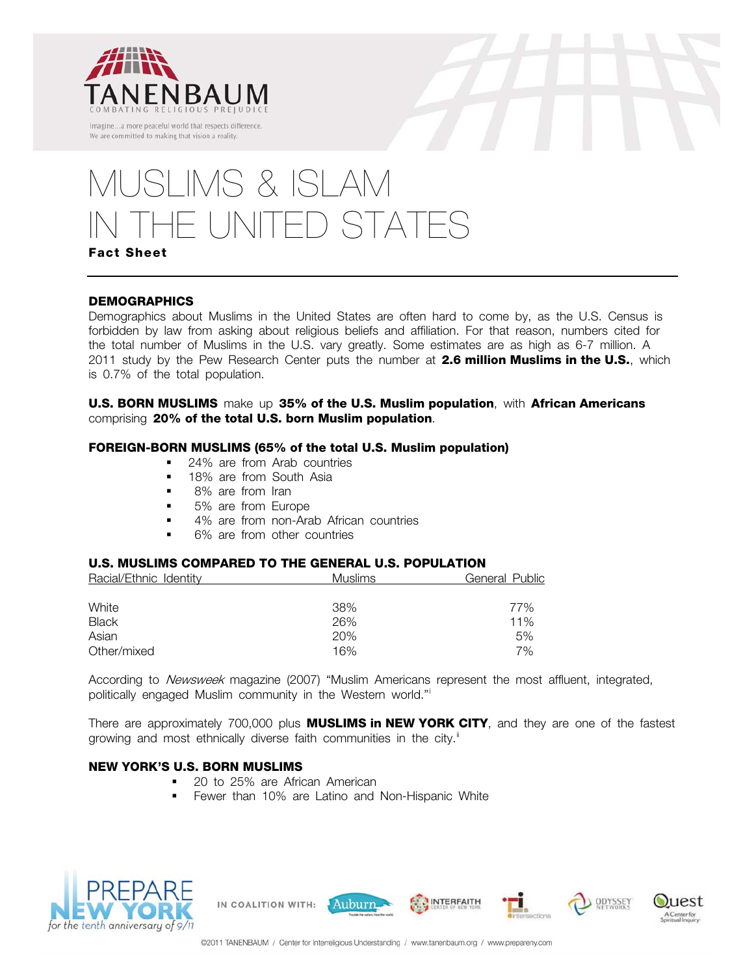



# MUSLIMS & ISLAM HE UNITED STATES

# **Fact Sheet**

## **DEMOGRAPHICS**

Demographics about Muslims in the United States are often hard to come by, as the U.S. Census is forbidden by law from asking about religious beliefs and affiliation. For that reason, numbers cited for the total number of Muslims in the U.S. vary greatly. Some estimates are as high as 6-7 million. A 2011 study by the Pew Research Center puts the number at **2.6 million Muslims in the U.S.**, which is 0.7% of the total population.

**U.S. BORN MUSLIMS** make up **35% of the U.S. Muslim population**, with **African Americans** comprising **20% of the total U.S. born Muslim population**.

#### **FOREIGN-BORN MUSLIMS (65% of the total U.S. Muslim population)**

- 24% are from Arab countries
- **18% are from South Asia**
- 8% are from Iran
- 5% are from Europe
- 4% are from non-Arab African countries
- 6% are from other countries

### **U.S. MUSLIMS COMPARED TO THE GENERAL U.S. POPULATION**

| Racial/Ethnic Identity | <b>Muslims</b> | <b>General Public</b> |
|------------------------|----------------|-----------------------|
|                        |                |                       |
| White                  | 38%            | 77%                   |
| <b>Black</b>           | 26%            | 11%                   |
| Asian                  | 20%            | 5%                    |
| Other/mixed            | 16%            | 7%                    |

According to Newsweek magazine (2007) "Muslim Americans represent the most affluent, integrated, politically engaged Muslim community in the Western world."[i](#page-2-0)

There are approximately 700,000 plus **MUSLIMS in NEW YORK CITY**, and they are one of the fastest growing and most ethnically diverse faith communities in the city.<sup>[ii](#page-2-1)</sup>

#### **NEW YORK'S U.S. BORN MUSLIMS**

■ 20 to 25% are African American

IN COALITION WITH:

**Fewer than 10% are Latino and Non-Hispanic White** 



@2011 TANENBAUM / Center for Interreligious Understanding / www.tanenbaum.org / www.prepareny.com

Auburn

**INTERFAITH** 

ODYSSEY

uest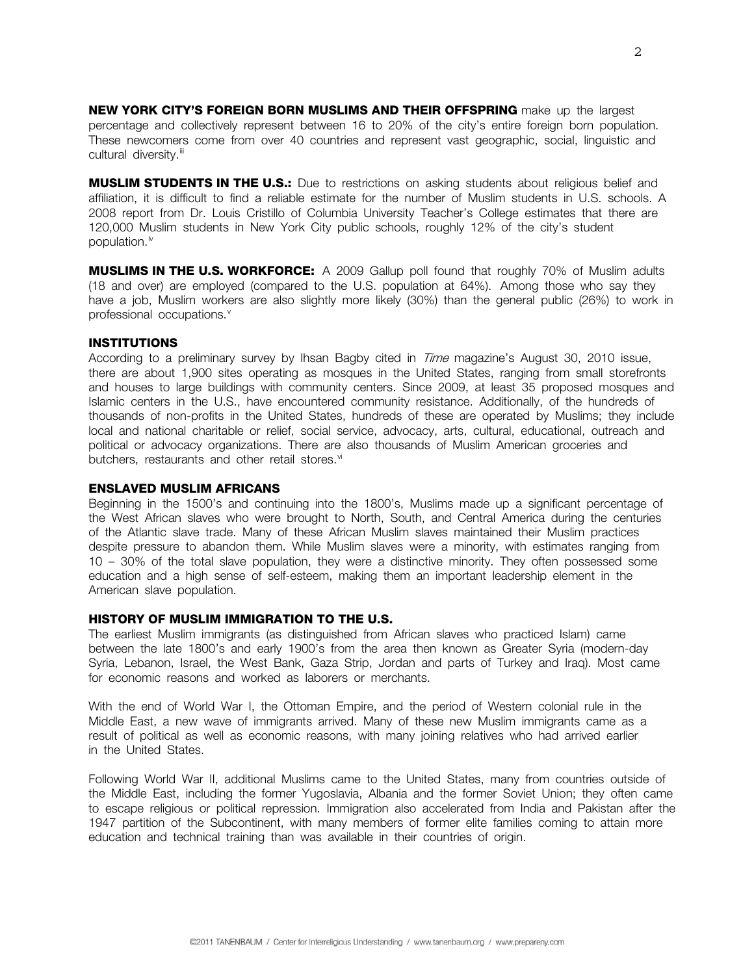**NEW YORK CITY'S FOREIGN BORN MUSLIMS AND THEIR OFFSPRING** make up the largest percentage and collectively represent between 16 to 20% of the city's entire foreign born population. These newcomers come from over 40 countries and represent vast geographic, social, linguistic and cultural diversity.<sup>[iii](#page-2-1)</sup>

**MUSLIM STUDENTS IN THE U.S.:** Due to restrictions on asking students about religious belief and affiliation, it is difficult to find a reliable estimate for the number of Muslim students in U.S. schools. A 2008 report from Dr. Louis Cristillo of Columbia University Teacher's College estimates that there are 120,000 Muslim students in New York City public schools, roughly 12% of the city's student population. $iv$ 

**MUSLIMS IN THE U.S. WORKFORCE:** A 2009 Gallup poll found that roughly 70% of Muslim adults (18 and over) are employed (compared to the U.S. population at 64%). Among those who say they have a job, Muslim workers are also slightly more likely (30%) than the general public (26%) to work in professional occupations.<sup>[v](#page-2-1)</sup>

#### **INSTITUTIONS**

According to a preliminary survey by Ihsan Bagby cited in Time magazine's August 30, 2010 issue, there are about 1,900 sites operating as mosques in the United States, ranging from small storefronts and houses to large buildings with community centers. Since 2009, at least 35 proposed mosques and Islamic centers in the U.S., have encountered community resistance. Additionally, of the hundreds of thousands of non-profits in the United States, hundreds of these are operated by Muslims; they include local and national charitable or relief, social service, advocacy, arts, cultural, educational, outreach and political or advocacy organizations. There are also thousands of Muslim American groceries and butchers, restaurants and other retail stores.<sup>vi</sup>

#### <span id="page-1-0"></span>**ENSLAVED MUSLIM AFRICANS**

Beginning in the 1500's and continuing into the 1800's, Muslims made up a significant percentage of the West African slaves who were brought to North, South, and Central America during the centuries of the Atlantic slave trade. Many of these African Muslim slaves maintained their Muslim practices despite pressure to abandon them. While Muslim slaves were a minority, with estimates ranging from 10 – 30% of the total slave population, they were a distinctive minority. They often possessed some education and a high sense of self-esteem, making them an important leadership element in the American slave population.

#### **HISTORY OF MUSLIM IMMIGRATION TO THE U.S.**

The earliest Muslim immigrants (as distinguished from African slaves who practiced Islam) came between the late 1800's and early 1900's from the area then known as Greater Syria (modern-day Syria, Lebanon, Israel, the West Bank, Gaza Strip, Jordan and parts of Turkey and Iraq). Most came for economic reasons and worked as laborers or merchants.

With the end of World War I, the Ottoman Empire, and the period of Western colonial rule in the Middle East, a new wave of immigrants arrived. Many of these new Muslim immigrants came as a result of political as well as economic reasons, with many joining relatives who had arrived earlier in the United States.

Following World War II, additional Muslims came to the United States, many from countries outside of the Middle East, including the former Yugoslavia, Albania and the former Soviet Union; they often came to escape religious or political repression. Immigration also accelerated from India and Pakistan after the 1947 partition of the Subcontinent, with many members of former elite families coming to attain more education and technical training than was available in their countries of origin.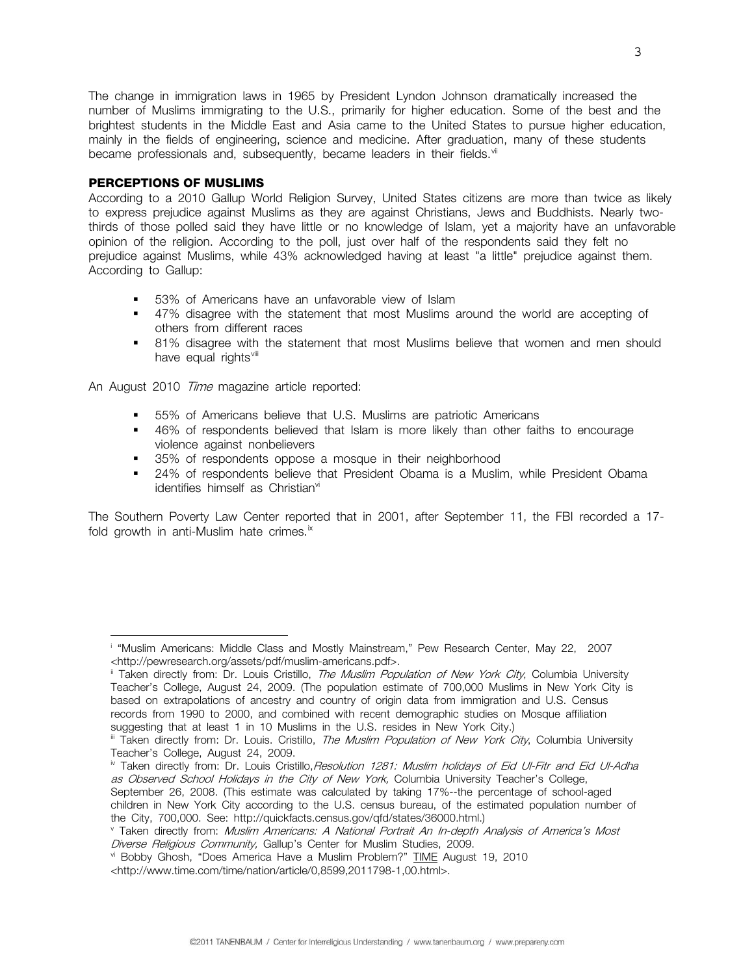<span id="page-2-1"></span>The change in immigration laws in 1965 by President Lyndon Johnson dramatically increased the number of Muslims immigrating to the U.S., primarily for higher education. Some of the best and the brightest students in the Middle East and Asia came to the United States to pursue higher education, mainly in the fields of engineering, science and medicine. After graduation, many of these students became professionals and, subsequently, became leaders in their fields.<sup>[vii](#page-3-0)</sup>

#### **PERCEPTIONS OF MUSLIMS**

According to a 2010 Gallup World Religion Survey, United States citizens are more than twice as likely to express prejudice against Muslims as they are against Christians, Jews and Buddhists. Nearly twothirds of those polled said they have little or no knowledge of Islam, yet a majority have an unfavorable opinion of the religion. According to the poll, just over half of the respondents said they felt no prejudice against Muslims, while 43% acknowledged having at least "a little" prejudice against them. According to Gallup:

- 53% of Americans have an unfavorable view of Islam
- 47% disagree with the statement that most Muslims around the world are accepting of others from different races
- 81% disagree with the statement that most Muslims believe that women and men should have equal rights<sup>[viii](#page-3-1)</sup>

An August 2010 Time magazine article reported:

- 55% of Americans believe that U.S. Muslims are patriotic Americans
- 46% of respondents believed that Islam is more likely than other faiths to encourage violence against nonbelievers
- **35%** of respondents oppose a mosque in their neighborhood
- 24% of respondents believe that President Obama is a Muslim, while President Obama identifies himself as Christian<sup>[vi](#page-1-0)</sup>

The Southern Poverty Law Center reported that in 2001, after September 11, the FBI recorded a 17 fold growth in anti-Muslim hate crimes. $\frac{1}{x}$ 

- September 26, 2008. (This estimate was calculated by taking 17%--the percentage of school-aged children in New York City according to the U.S. census bureau, of the estimated population number of the City, 700,000. See: http://quickfacts.census.gov/qfd/states/36000.html.)
- <sup>v</sup> Taken directly from: *Muslim Americans: A National Portrait An In-depth Analysis of America's Most*<br>*Diverse Religious Community*, Gallup's Center for Muslim Studies, 2009.

<span id="page-2-0"></span>i <sup>i</sup> "Muslim Americans: Middle Class and Mostly Mainstream," Pew Research Center, May 22, 2007 <http://pewresearch.org/assets/pdf/muslim-americans.pdf>.<br><sup>ii</sup> Taken directly from: Dr. Louis Cristillo, *The Muslim Population of New York City*, Columbia University

Teacher's College, August 24, 2009. (The population estimate of 700,000 Muslims in New York City is based on extrapolations of ancestry and country of origin data from immigration and U.S. Census records from 1990 to 2000, and combined with recent demographic studies on Mosque affiliation suggesting that at least 1 in 10 Muslims in the U.S. resides in New York City.)

iii Taken directly from: Dr. Louis. Cristillo, *The Muslim Population of New York City*, Columbia University Teacher's College, August 24, 2009.

<sup>&</sup>lt;sup>iv</sup> Taken directly from: Dr. Louis Cristillo, Resolution 1281: Muslim holidays of Eid Ul-Fitr and Eid Ul-Adha as Observed School Holidays in the City of New York, Columbia University Teacher's College,

vi Bobby Ghosh, "Does America Have a Muslim Problem?" TIME August 19, 2010.

<sup>&</sup>lt;http://www.time.com/time/nation/article/0,8599,2011798-1,00.html>.